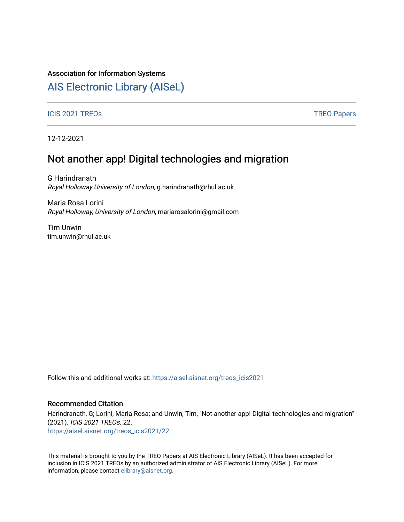## Association for Information Systems

# [AIS Electronic Library \(AISeL\)](https://aisel.aisnet.org/)

### ICIS 2021 TREOS Notes that the contract of the contract of the contract of the contract of the contract of the contract of the contract of the contract of the contract of the contract of the contract of the contract of the

12-12-2021

# Not another app! Digital technologies and migration

G Harindranath Royal Holloway University of London, g.harindranath@rhul.ac.uk

Maria Rosa Lorini Royal Holloway, University of London, mariarosalorini@gmail.com

Tim Unwin tim.unwin@rhul.ac.uk

Follow this and additional works at: [https://aisel.aisnet.org/treos\\_icis2021](https://aisel.aisnet.org/treos_icis2021?utm_source=aisel.aisnet.org%2Ftreos_icis2021%2F22&utm_medium=PDF&utm_campaign=PDFCoverPages) 

### Recommended Citation

Harindranath, G; Lorini, Maria Rosa; and Unwin, Tim, "Not another app! Digital technologies and migration" (2021). ICIS 2021 TREOs. 22.

[https://aisel.aisnet.org/treos\\_icis2021/22](https://aisel.aisnet.org/treos_icis2021/22?utm_source=aisel.aisnet.org%2Ftreos_icis2021%2F22&utm_medium=PDF&utm_campaign=PDFCoverPages) 

This material is brought to you by the TREO Papers at AIS Electronic Library (AISeL). It has been accepted for inclusion in ICIS 2021 TREOs by an authorized administrator of AIS Electronic Library (AISeL). For more information, please contact [elibrary@aisnet.org.](mailto:elibrary@aisnet.org%3E)